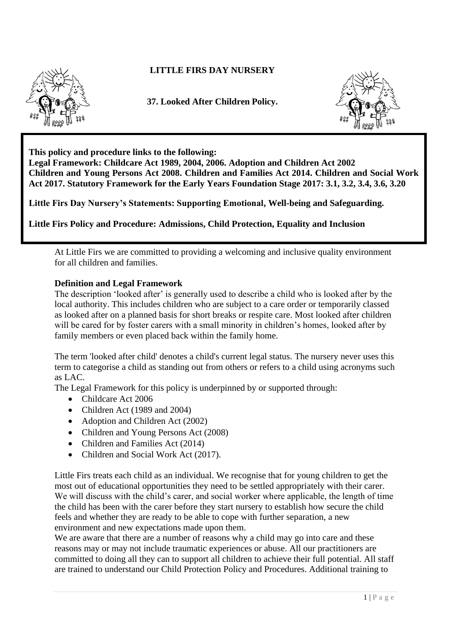

## **LITTLE FIRS DAY NURSERY**

**37. Looked After Children Policy.**



**This policy and procedure links to the following:** 

**Legal Framework: Childcare Act 1989, 2004, 2006. Adoption and Children Act 2002 Children and Young Persons Act 2008. Children and Families Act 2014. Children and Social Work Act 2017. Statutory Framework for the Early Years Foundation Stage 2017: 3.1, 3.2, 3.4, 3.6, 3.20**

**Little Firs Day Nursery's Statements: Supporting Emotional, Well-being and Safeguarding.**

**Little Firs Policy and Procedure: Admissions, Child Protection, Equality and Inclusion**

At Little Firs we are committed to providing a welcoming and inclusive quality environment for all children and families.

## **Definition and Legal Framework**

The description 'looked after' is generally used to describe a child who is looked after by the local authority. This includes children who are subject to a care order or temporarily classed as looked after on a planned basis for short breaks or respite care. Most looked after children will be cared for by foster carers with a small minority in children's homes, looked after by family members or even placed back within the family home.

The term 'looked after child' denotes a child's current legal status. The nursery never uses this term to categorise a child as standing out from others or refers to a child using acronyms such as LAC.

The Legal Framework for this policy is underpinned by or supported through:

- Childcare Act 2006
- Children Act (1989 and 2004)
- Adoption and Children Act (2002)
- Children and Young Persons Act (2008)
- Children and Families Act (2014)
- Children and Social Work Act (2017).

Little Firs treats each child as an individual. We recognise that for young children to get the most out of educational opportunities they need to be settled appropriately with their carer. We will discuss with the child's carer, and social worker where applicable, the length of time the child has been with the carer before they start nursery to establish how secure the child feels and whether they are ready to be able to cope with further separation, a new environment and new expectations made upon them.

We are aware that there are a number of reasons why a child may go into care and these reasons may or may not include traumatic experiences or abuse. All our practitioners are committed to doing all they can to support all children to achieve their full potential. All staff are trained to understand our Child Protection Policy and Procedures. Additional training to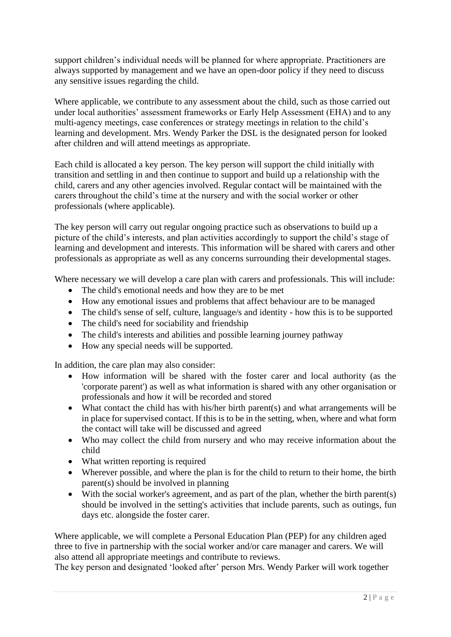support children's individual needs will be planned for where appropriate. Practitioners are always supported by management and we have an open-door policy if they need to discuss any sensitive issues regarding the child.

Where applicable, we contribute to any assessment about the child, such as those carried out under local authorities' assessment frameworks or Early Help Assessment (EHA) and to any multi-agency meetings, case conferences or strategy meetings in relation to the child's learning and development. Mrs. Wendy Parker the DSL is the designated person for looked after children and will attend meetings as appropriate.

Each child is allocated a key person. The key person will support the child initially with transition and settling in and then continue to support and build up a relationship with the child, carers and any other agencies involved. Regular contact will be maintained with the carers throughout the child's time at the nursery and with the social worker or other professionals (where applicable).

The key person will carry out regular ongoing practice such as observations to build up a picture of the child's interests, and plan activities accordingly to support the child's stage of learning and development and interests. This information will be shared with carers and other professionals as appropriate as well as any concerns surrounding their developmental stages.

Where necessary we will develop a care plan with carers and professionals. This will include:

- The child's emotional needs and how they are to be met
- How any emotional issues and problems that affect behaviour are to be managed
- The child's sense of self, culture, language/s and identity how this is to be supported
- The child's need for sociability and friendship
- The child's interests and abilities and possible learning journey pathway
- How any special needs will be supported.

In addition, the care plan may also consider:

- How information will be shared with the foster carer and local authority (as the 'corporate parent') as well as what information is shared with any other organisation or professionals and how it will be recorded and stored
- What contact the child has with his/her birth parent(s) and what arrangements will be in place for supervised contact. If this is to be in the setting, when, where and what form the contact will take will be discussed and agreed
- Who may collect the child from nursery and who may receive information about the child
- What written reporting is required
- Wherever possible, and where the plan is for the child to return to their home, the birth parent(s) should be involved in planning
- With the social worker's agreement, and as part of the plan, whether the birth parent(s) should be involved in the setting's activities that include parents, such as outings, fun days etc. alongside the foster carer.

Where applicable, we will complete a Personal Education Plan (PEP) for any children aged three to five in partnership with the social worker and/or care manager and carers. We will also attend all appropriate meetings and contribute to reviews.

The key person and designated 'looked after' person Mrs. Wendy Parker will work together